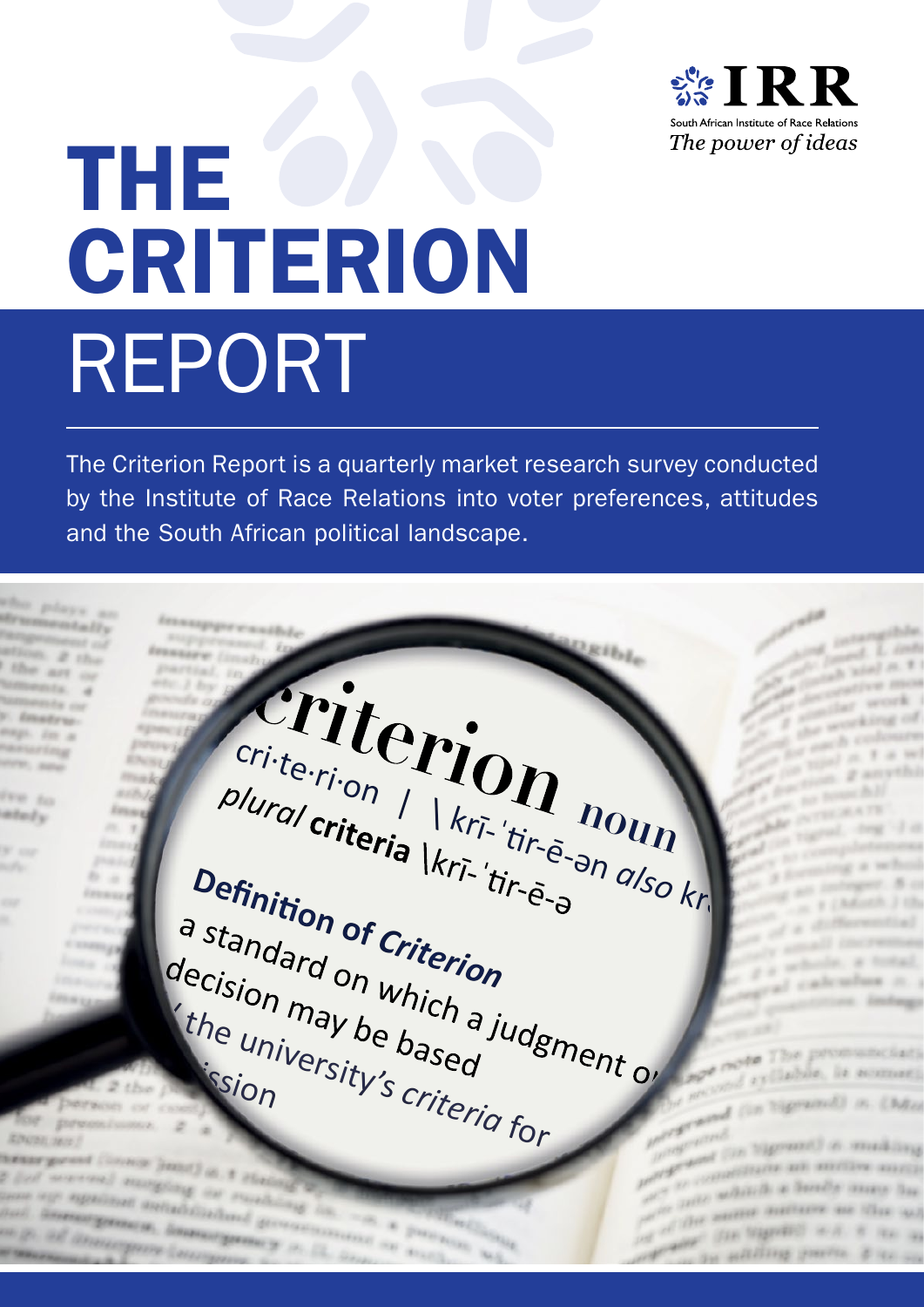

# The CRITERION Report

The Criterion Report is a quarterly market research survey conducted by the Institute of Race Relations into voter preferences, attitudes and the South African political landscape.

admission

Crite<sub>ri</sub>.on | krī-'tir-ē-ən *also* kr<br>
plura/criteria | krī-'tir-ē-ən also kr<br>
a standard on which a judgment of **Definition of Criterion**<br>a standard on which a ju<br>decision may be based (the university's criteria for

The pro

which a books page deadliners and lifest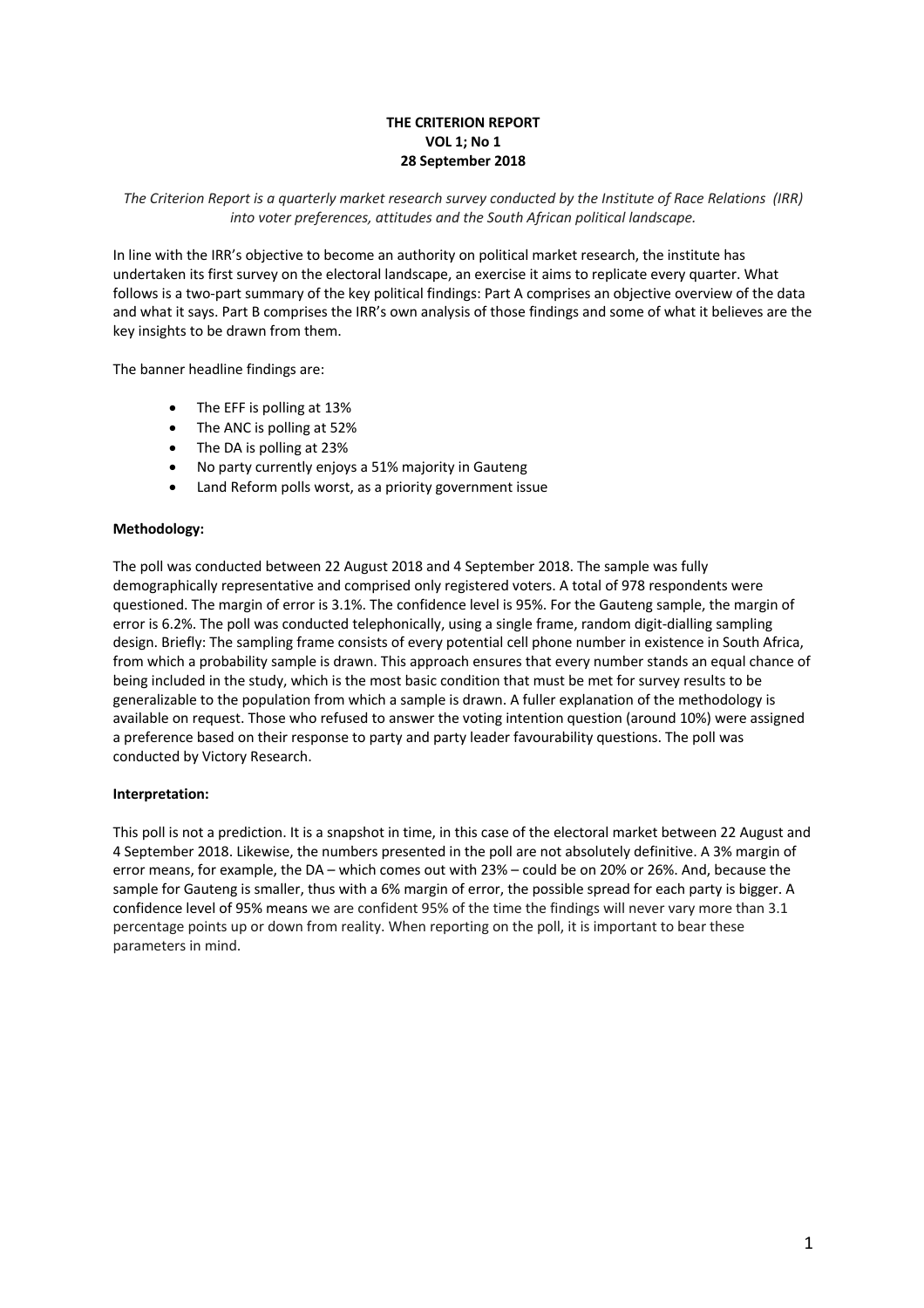# **THE CRITERION REPORT VOL 1; No 1 28 September 2018**

# *The Criterion Report is a quarterly market research survey conducted by the Institute of Race Relations (IRR) into voter preferences, attitudes and the South African political landscape.*

In line with the IRR's objective to become an authority on political market research, the institute has undertaken its first survey on the electoral landscape, an exercise it aims to replicate every quarter. What follows is a two-part summary of the key political findings: Part A comprises an objective overview of the data and what it says. Part B comprises the IRR's own analysis of those findings and some of what it believes are the key insights to be drawn from them.

The banner headline findings are:

- The EFF is polling at 13%
- The ANC is polling at 52%
- The DA is polling at 23%
- No party currently enjoys a 51% majority in Gauteng
- Land Reform polls worst, as a priority government issue

# **Methodology:**

The poll was conducted between 22 August 2018 and 4 September 2018. The sample was fully demographically representative and comprised only registered voters. A total of 978 respondents were questioned. The margin of error is 3.1%. The confidence level is 95%. For the Gauteng sample, the margin of error is 6.2%. The poll was conducted telephonically, using a single frame, random digit-dialling sampling design. Briefly: The sampling frame consists of every potential cell phone number in existence in South Africa, from which a probability sample is drawn. This approach ensures that every number stands an equal chance of being included in the study, which is the most basic condition that must be met for survey results to be generalizable to the population from which a sample is drawn. A fuller explanation of the methodology is available on request. Those who refused to answer the voting intention question (around 10%) were assigned a preference based on their response to party and party leader favourability questions. The poll was conducted by Victory Research.

# **Interpretation:**

This poll is not a prediction. It is a snapshot in time, in this case of the electoral market between 22 August and 4 September 2018. Likewise, the numbers presented in the poll are not absolutely definitive. A 3% margin of error means, for example, the DA – which comes out with 23% – could be on 20% or 26%. And, because the sample for Gauteng is smaller, thus with a 6% margin of error, the possible spread for each party is bigger. A confidence level of 95% means we are confident 95% of the time the findings will never vary more than 3.1 percentage points up or down from reality. When reporting on the poll, it is important to bear these parameters in mind.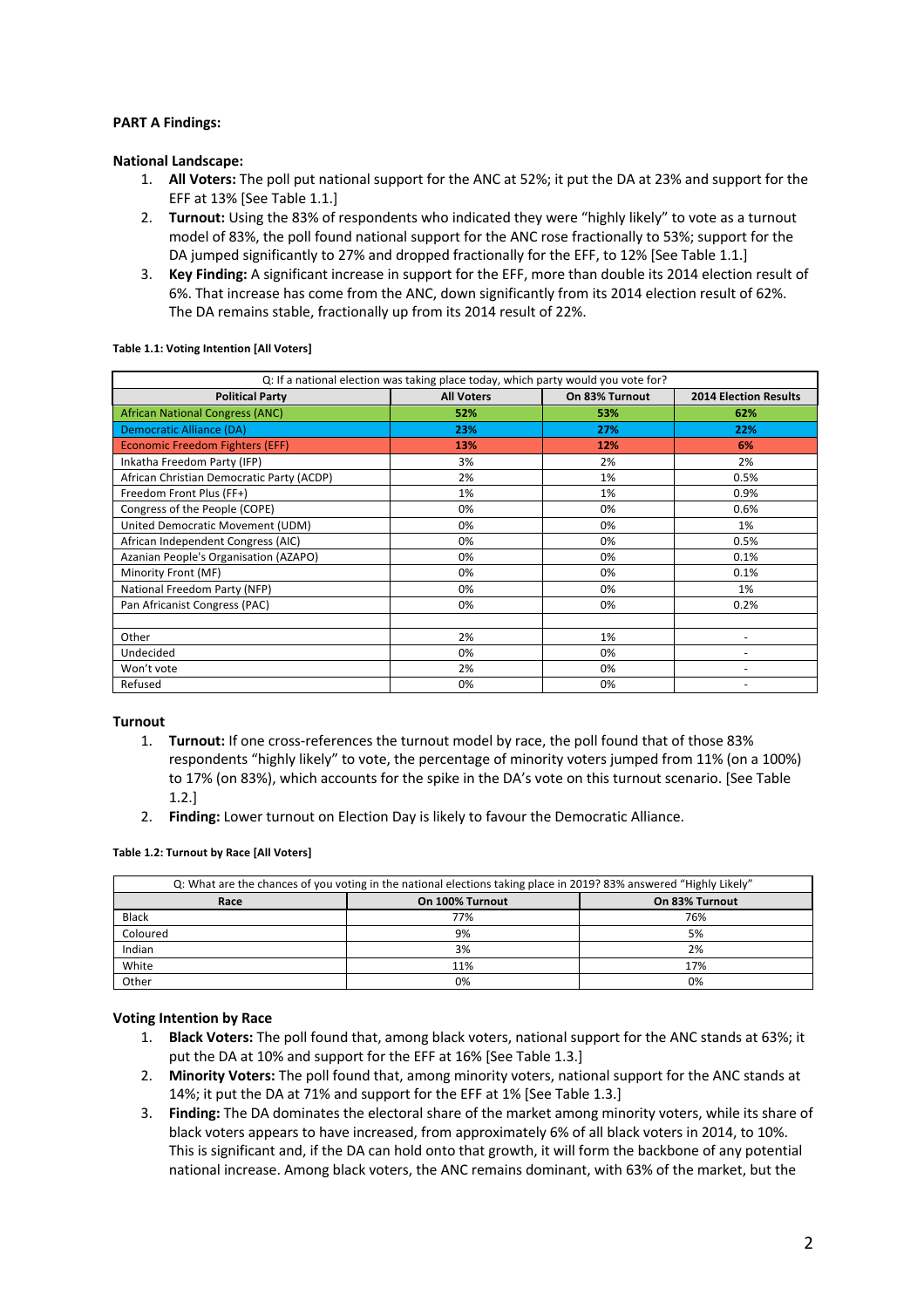# **PART A Findings:**

# **National Landscape:**

- 1. **All Voters:** The poll put national support for the ANC at 52%; it put the DA at 23% and support for the EFF at 13% [See Table 1.1.]
- 2. **Turnout:** Using the 83% of respondents who indicated they were "highly likely" to vote as a turnout model of 83%, the poll found national support for the ANC rose fractionally to 53%; support for the DA jumped significantly to 27% and dropped fractionally for the EFF, to 12% [See Table 1.1.]
- 3. **Key Finding:** A significant increase in support for the EFF, more than double its 2014 election result of 6%. That increase has come from the ANC, down significantly from its 2014 election result of 62%. The DA remains stable, fractionally up from its 2014 result of 22%.

**Table 1.1: Voting Intention [All Voters]**

| Q: If a national election was taking place today, which party would you vote for? |                   |                |                              |  |  |
|-----------------------------------------------------------------------------------|-------------------|----------------|------------------------------|--|--|
| <b>Political Party</b>                                                            | <b>All Voters</b> | On 83% Turnout | <b>2014 Election Results</b> |  |  |
| <b>African National Congress (ANC)</b>                                            | 52%               | 53%            | 62%                          |  |  |
| Democratic Alliance (DA)                                                          | 23%               | 27%            | 22%                          |  |  |
| Economic Freedom Fighters (EFF)                                                   | 13%               | 12%            | 6%                           |  |  |
| Inkatha Freedom Party (IFP)                                                       | 3%                | 2%             | 2%                           |  |  |
| African Christian Democratic Party (ACDP)                                         | 2%                | 1%             | 0.5%                         |  |  |
| Freedom Front Plus (FF+)                                                          | 1%                | 1%             | 0.9%                         |  |  |
| Congress of the People (COPE)                                                     | 0%                | 0%             | 0.6%                         |  |  |
| United Democratic Movement (UDM)                                                  | 0%                | 0%             | 1%                           |  |  |
| African Independent Congress (AIC)                                                | 0%                | 0%             | 0.5%                         |  |  |
| Azanian People's Organisation (AZAPO)                                             | 0%                | 0%             | 0.1%                         |  |  |
| Minority Front (MF)                                                               | 0%                | 0%             | 0.1%                         |  |  |
| National Freedom Party (NFP)                                                      | 0%                | 0%             | 1%                           |  |  |
| Pan Africanist Congress (PAC)                                                     | 0%                | 0%             | 0.2%                         |  |  |
|                                                                                   |                   |                |                              |  |  |
| Other                                                                             | 2%                | 1%             |                              |  |  |
| Undecided                                                                         | 0%                | 0%             |                              |  |  |
| Won't vote                                                                        | 2%                | 0%             |                              |  |  |
| Refused                                                                           | 0%                | 0%             |                              |  |  |

# **Turnout**

- 1. **Turnout:** If one cross-references the turnout model by race, the poll found that of those 83% respondents "highly likely" to vote, the percentage of minority voters jumped from 11% (on a 100%) to 17% (on 83%), which accounts for the spike in the DA's vote on this turnout scenario. [See Table 1.2.]
- 2. **Finding:** Lower turnout on Election Day is likely to favour the Democratic Alliance.

**Table 1.2: Turnout by Race [All Voters]**

| Q: What are the chances of you voting in the national elections taking place in 2019? 83% answered "Highly Likely" |                 |                |  |  |
|--------------------------------------------------------------------------------------------------------------------|-----------------|----------------|--|--|
| Race                                                                                                               | On 100% Turnout | On 83% Turnout |  |  |
| <b>Black</b>                                                                                                       | 77%             | 76%            |  |  |
| Coloured                                                                                                           | 9%              | 5%             |  |  |
| Indian                                                                                                             | 3%              | 2%             |  |  |
| White                                                                                                              | 11%             | 17%            |  |  |
| Other                                                                                                              | 0%              | 0%             |  |  |

# **Voting Intention by Race**

- 1. **Black Voters:** The poll found that, among black voters, national support for the ANC stands at 63%; it put the DA at 10% and support for the EFF at 16% [See Table 1.3.]
- 2. **Minority Voters:** The poll found that, among minority voters, national support for the ANC stands at 14%; it put the DA at 71% and support for the EFF at 1% [See Table 1.3.]
- 3. **Finding:** The DA dominates the electoral share of the market among minority voters, while its share of black voters appears to have increased, from approximately 6% of all black voters in 2014, to 10%. This is significant and, if the DA can hold onto that growth, it will form the backbone of any potential national increase. Among black voters, the ANC remains dominant, with 63% of the market, but the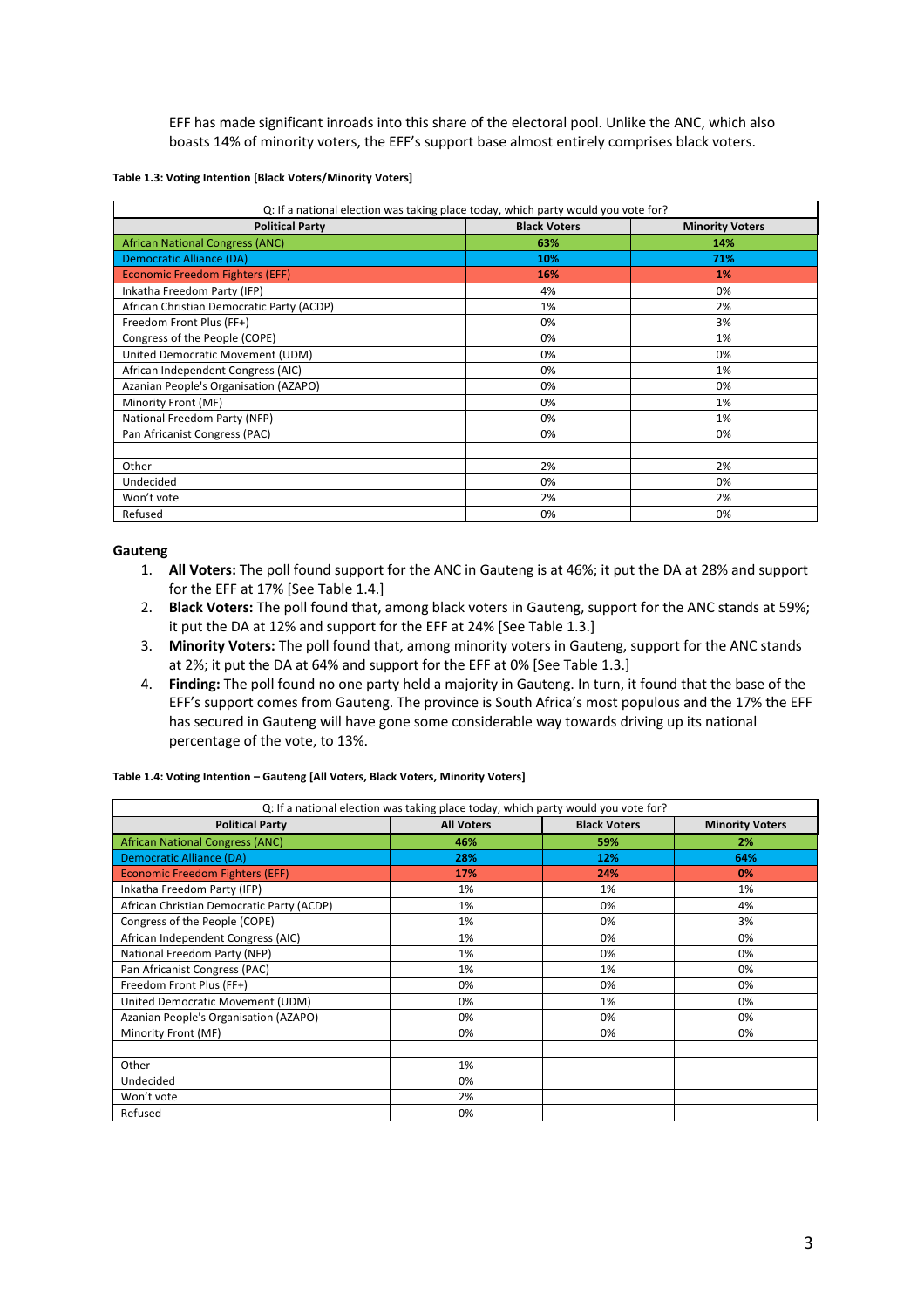EFF has made significant inroads into this share of the electoral pool. Unlike the ANC, which also boasts 14% of minority voters, the EFF's support base almost entirely comprises black voters.

## **Table 1.3: Voting Intention [Black Voters/Minority Voters]**

| Q: If a national election was taking place today, which party would you vote for? |                     |                        |  |  |
|-----------------------------------------------------------------------------------|---------------------|------------------------|--|--|
| <b>Political Party</b>                                                            | <b>Black Voters</b> | <b>Minority Voters</b> |  |  |
| <b>African National Congress (ANC)</b>                                            | 63%                 | 14%                    |  |  |
| Democratic Alliance (DA)                                                          | 10%                 | 71%                    |  |  |
| <b>Economic Freedom Fighters (EFF)</b>                                            | 16%                 | 1%                     |  |  |
| Inkatha Freedom Party (IFP)                                                       | 4%                  | 0%                     |  |  |
| African Christian Democratic Party (ACDP)                                         | 1%                  | 2%                     |  |  |
| Freedom Front Plus (FF+)                                                          | 0%                  | 3%                     |  |  |
| Congress of the People (COPE)                                                     | 0%                  | 1%                     |  |  |
| United Democratic Movement (UDM)                                                  | 0%                  | 0%                     |  |  |
| African Independent Congress (AIC)                                                | 0%                  | 1%                     |  |  |
| Azanian People's Organisation (AZAPO)                                             | 0%                  | 0%                     |  |  |
| Minority Front (MF)                                                               | 0%                  | 1%                     |  |  |
| National Freedom Party (NFP)                                                      | 0%                  | 1%                     |  |  |
| Pan Africanist Congress (PAC)                                                     | 0%                  | 0%                     |  |  |
|                                                                                   |                     |                        |  |  |
| Other                                                                             | 2%                  | 2%                     |  |  |
| Undecided                                                                         | 0%                  | 0%                     |  |  |
| Won't vote                                                                        | 2%                  | 2%                     |  |  |
| Refused                                                                           | 0%                  | 0%                     |  |  |

## **Gauteng**

- 1. **All Voters:** The poll found support for the ANC in Gauteng is at 46%; it put the DA at 28% and support for the EFF at 17% [See Table 1.4.]
- 2. **Black Voters:** The poll found that, among black voters in Gauteng, support for the ANC stands at 59%; it put the DA at 12% and support for the EFF at 24% [See Table 1.3.]
- 3. **Minority Voters:** The poll found that, among minority voters in Gauteng, support for the ANC stands at 2%; it put the DA at 64% and support for the EFF at 0% [See Table 1.3.]
- 4. **Finding:** The poll found no one party held a majority in Gauteng. In turn, it found that the base of the EFF's support comes from Gauteng. The province is South Africa's most populous and the 17% the EFF has secured in Gauteng will have gone some considerable way towards driving up its national percentage of the vote, to 13%.

### **Table 1.4: Voting Intention – Gauteng [All Voters, Black Voters, Minority Voters]**

| Q: If a national election was taking place today, which party would you vote for? |                   |                     |                        |  |  |
|-----------------------------------------------------------------------------------|-------------------|---------------------|------------------------|--|--|
| <b>Political Party</b>                                                            | <b>All Voters</b> | <b>Black Voters</b> | <b>Minority Voters</b> |  |  |
| <b>African National Congress (ANC)</b>                                            | 46%               | 59%                 | 2%                     |  |  |
| <b>Democratic Alliance (DA)</b>                                                   | 28%               | 12%                 | 64%                    |  |  |
| <b>Economic Freedom Fighters (EFF)</b>                                            | 17%               | 24%                 | 0%                     |  |  |
| Inkatha Freedom Party (IFP)                                                       | 1%                | 1%                  | 1%                     |  |  |
| African Christian Democratic Party (ACDP)                                         | 1%                | 0%                  | 4%                     |  |  |
| Congress of the People (COPE)                                                     | 1%                | 0%                  | 3%                     |  |  |
| African Independent Congress (AIC)                                                | 1%                | 0%                  | 0%                     |  |  |
| National Freedom Party (NFP)                                                      | 1%                | 0%                  | 0%                     |  |  |
| Pan Africanist Congress (PAC)                                                     | 1%                | 1%                  | 0%                     |  |  |
| Freedom Front Plus (FF+)                                                          | 0%                | 0%                  | 0%                     |  |  |
| United Democratic Movement (UDM)                                                  | 0%                | 1%                  | 0%                     |  |  |
| Azanian People's Organisation (AZAPO)                                             | 0%                | 0%                  | 0%                     |  |  |
| Minority Front (MF)                                                               | 0%                | 0%                  | 0%                     |  |  |
|                                                                                   |                   |                     |                        |  |  |
| Other                                                                             | 1%                |                     |                        |  |  |
| Undecided                                                                         | 0%                |                     |                        |  |  |
| Won't vote                                                                        | 2%                |                     |                        |  |  |
| Refused                                                                           | 0%                |                     |                        |  |  |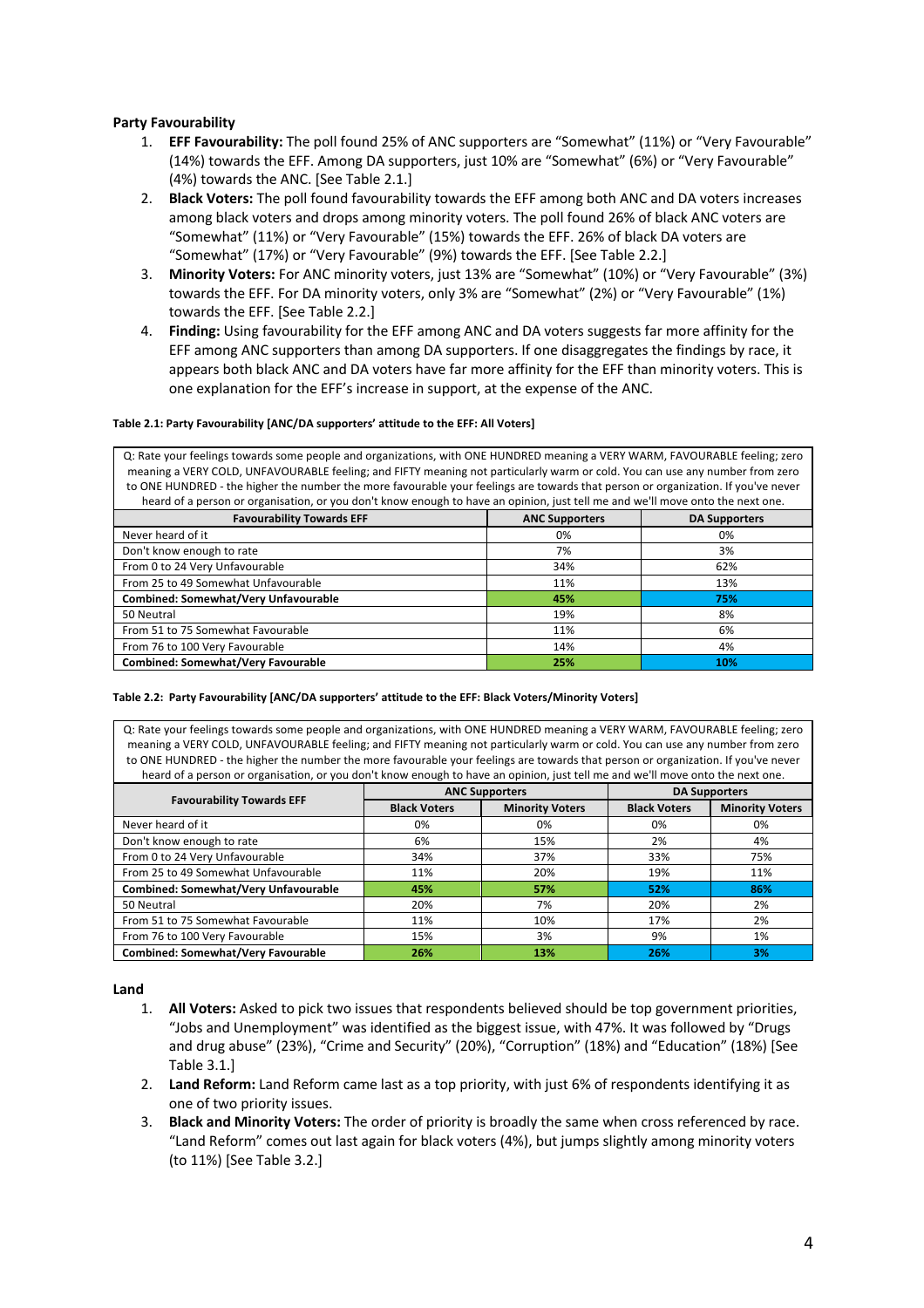# **Party Favourability**

- 1. **EFF Favourability:** The poll found 25% of ANC supporters are "Somewhat" (11%) or "Very Favourable" (14%) towards the EFF. Among DA supporters, just 10% are "Somewhat" (6%) or "Very Favourable" (4%) towards the ANC. [See Table 2.1.]
- 2. **Black Voters:** The poll found favourability towards the EFF among both ANC and DA voters increases among black voters and drops among minority voters. The poll found 26% of black ANC voters are "Somewhat" (11%) or "Very Favourable" (15%) towards the EFF. 26% of black DA voters are "Somewhat" (17%) or "Very Favourable" (9%) towards the EFF. [See Table 2.2.]
- 3. **Minority Voters:** For ANC minority voters, just 13% are "Somewhat" (10%) or "Very Favourable" (3%) towards the EFF. For DA minority voters, only 3% are "Somewhat" (2%) or "Very Favourable" (1%) towards the EFF. [See Table 2.2.]
- 4. **Finding:** Using favourability for the EFF among ANC and DA voters suggests far more affinity for the EFF among ANC supporters than among DA supporters. If one disaggregates the findings by race, it appears both black ANC and DA voters have far more affinity for the EFF than minority voters. This is one explanation for the EFF's increase in support, at the expense of the ANC.

## **Table 2.1: Party Favourability [ANC/DA supporters' attitude to the EFF: All Voters]**

Q: Rate your feelings towards some people and organizations, with ONE HUNDRED meaning a VERY WARM, FAVOURABLE feeling; zero meaning a VERY COLD, UNFAVOURABLE feeling; and FIFTY meaning not particularly warm or cold. You can use any number from zero to ONE HUNDRED - the higher the number the more favourable your feelings are towards that person or organization. If you've never heard of a person or organisation, or you don't know enough to have an opinion, just tell me and we'll move onto the next one.

| <b>Favourability Towards EFF</b>            | <b>ANC Supporters</b> | <b>DA Supporters</b> |  |  |
|---------------------------------------------|-----------------------|----------------------|--|--|
| Never heard of it                           | 0%                    | 0%                   |  |  |
| Don't know enough to rate                   | 7%                    | 3%                   |  |  |
| From 0 to 24 Very Unfavourable              | 34%                   | 62%                  |  |  |
| From 25 to 49 Somewhat Unfavourable         | 11%                   | 13%                  |  |  |
| <b>Combined: Somewhat/Very Unfavourable</b> | 45%                   | 75%                  |  |  |
| 50 Neutral                                  | 19%                   | 8%                   |  |  |
| From 51 to 75 Somewhat Favourable           | 11%                   | 6%                   |  |  |
| From 76 to 100 Very Favourable              | 14%                   | 4%                   |  |  |
| <b>Combined: Somewhat/Very Favourable</b>   | 25%                   | 10%                  |  |  |

## **Table 2.2: Party Favourability [ANC/DA supporters' attitude to the EFF: Black Voters/Minority Voters]**

Q: Rate your feelings towards some people and organizations, with ONE HUNDRED meaning a VERY WARM, FAVOURABLE feeling; zero meaning a VERY COLD, UNFAVOURABLE feeling; and FIFTY meaning not particularly warm or cold. You can use any number from zero to ONE HUNDRED - the higher the number the more favourable your feelings are towards that person or organization. If you've never heard of a person or organisation, or you don't know enough to have an opinion, just tell me and we'll move onto the next one.

|                                             |                     | <b>ANC Supporters</b>  | <b>DA Supporters</b> |                        |
|---------------------------------------------|---------------------|------------------------|----------------------|------------------------|
| <b>Favourability Towards EFF</b>            | <b>Black Voters</b> | <b>Minority Voters</b> | <b>Black Voters</b>  | <b>Minority Voters</b> |
| Never heard of it                           | 0%                  | 0%                     | 0%                   | 0%                     |
| Don't know enough to rate                   | 6%                  | 15%                    | 2%                   | 4%                     |
| From 0 to 24 Very Unfavourable              | 34%                 | 37%                    | 33%                  | 75%                    |
| From 25 to 49 Somewhat Unfavourable         | 11%                 | 20%                    | 19%                  | 11%                    |
| <b>Combined: Somewhat/Very Unfavourable</b> | 45%                 | 57%                    | 52%                  | 86%                    |
| 50 Neutral                                  | 20%                 | 7%                     | 20%                  | 2%                     |
| From 51 to 75 Somewhat Favourable           | 11%                 | 10%                    | 17%                  | 2%                     |
| From 76 to 100 Very Favourable              | 15%                 | 3%                     | 9%                   | 1%                     |
| <b>Combined: Somewhat/Very Favourable</b>   | 26%                 | 13%                    | 26%                  | 3%                     |

**Land**

- 1. **All Voters:** Asked to pick two issues that respondents believed should be top government priorities, "Jobs and Unemployment" was identified as the biggest issue, with 47%. It was followed by "Drugs and drug abuse" (23%), "Crime and Security" (20%), "Corruption" (18%) and "Education" (18%) [See Table 3.1.]
- 2. **Land Reform:** Land Reform came last as a top priority, with just 6% of respondents identifying it as one of two priority issues.
- 3. **Black and Minority Voters:** The order of priority is broadly the same when cross referenced by race. "Land Reform" comes out last again for black voters (4%), but jumps slightly among minority voters (to 11%) [See Table 3.2.]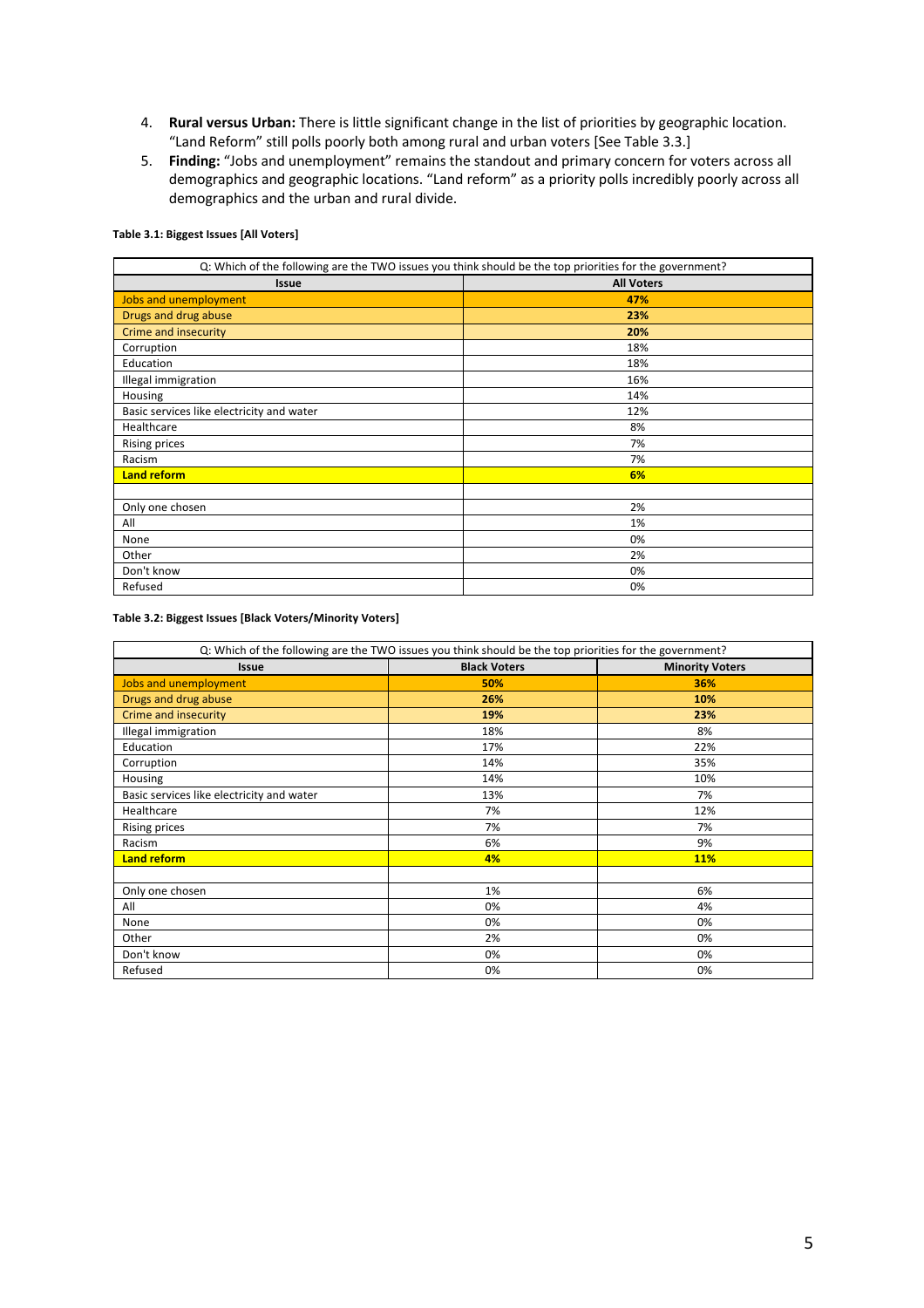- 4. **Rural versus Urban:** There is little significant change in the list of priorities by geographic location. "Land Reform" still polls poorly both among rural and urban voters [See Table 3.3.]
- 5. **Finding:** "Jobs and unemployment" remains the standout and primary concern for voters across all demographics and geographic locations. "Land reform" as a priority polls incredibly poorly across all demographics and the urban and rural divide.

## **Table 3.1: Biggest Issues [All Voters]**

| Q: Which of the following are the TWO issues you think should be the top priorities for the government? |     |  |  |
|---------------------------------------------------------------------------------------------------------|-----|--|--|
| <b>All Voters</b><br><b>Issue</b>                                                                       |     |  |  |
| Jobs and unemployment                                                                                   | 47% |  |  |
| Drugs and drug abuse                                                                                    | 23% |  |  |
| Crime and insecurity                                                                                    | 20% |  |  |
| Corruption                                                                                              | 18% |  |  |
| Education                                                                                               | 18% |  |  |
| Illegal immigration                                                                                     | 16% |  |  |
| Housing                                                                                                 | 14% |  |  |
| Basic services like electricity and water                                                               | 12% |  |  |
| Healthcare                                                                                              | 8%  |  |  |
| <b>Rising prices</b>                                                                                    | 7%  |  |  |
| Racism                                                                                                  | 7%  |  |  |
| <b>Land reform</b>                                                                                      | 6%  |  |  |
|                                                                                                         |     |  |  |
| Only one chosen                                                                                         | 2%  |  |  |
| All                                                                                                     | 1%  |  |  |
| None                                                                                                    | 0%  |  |  |
| Other                                                                                                   | 2%  |  |  |
| Don't know                                                                                              | 0%  |  |  |
| Refused                                                                                                 | 0%  |  |  |

## **Table 3.2: Biggest Issues [Black Voters/Minority Voters]**

| Q: Which of the following are the TWO issues you think should be the top priorities for the government? |                                               |            |  |  |
|---------------------------------------------------------------------------------------------------------|-----------------------------------------------|------------|--|--|
| <b>Issue</b>                                                                                            | <b>Black Voters</b><br><b>Minority Voters</b> |            |  |  |
| Jobs and unemployment                                                                                   | 50%                                           | 36%        |  |  |
| Drugs and drug abuse                                                                                    | 26%                                           | 10%        |  |  |
| Crime and insecurity                                                                                    | 19%                                           | 23%        |  |  |
| Illegal immigration                                                                                     | 18%                                           | 8%         |  |  |
| Education                                                                                               | 17%                                           | 22%        |  |  |
| Corruption                                                                                              | 14%                                           | 35%        |  |  |
| Housing                                                                                                 | 14%                                           | 10%        |  |  |
| Basic services like electricity and water                                                               | 13%                                           | 7%         |  |  |
| Healthcare                                                                                              | 7%                                            | 12%        |  |  |
| <b>Rising prices</b>                                                                                    | 7%                                            | 7%         |  |  |
| Racism                                                                                                  | 6%                                            | 9%         |  |  |
| <b>Land reform</b>                                                                                      | 4%                                            | <b>11%</b> |  |  |
|                                                                                                         |                                               |            |  |  |
| Only one chosen                                                                                         | 1%                                            | 6%         |  |  |
| All                                                                                                     | 0%                                            | 4%         |  |  |
| None                                                                                                    | 0%                                            | 0%         |  |  |
| Other                                                                                                   | 2%                                            | 0%         |  |  |
| Don't know                                                                                              | 0%                                            | 0%         |  |  |
| Refused                                                                                                 | 0%                                            | 0%         |  |  |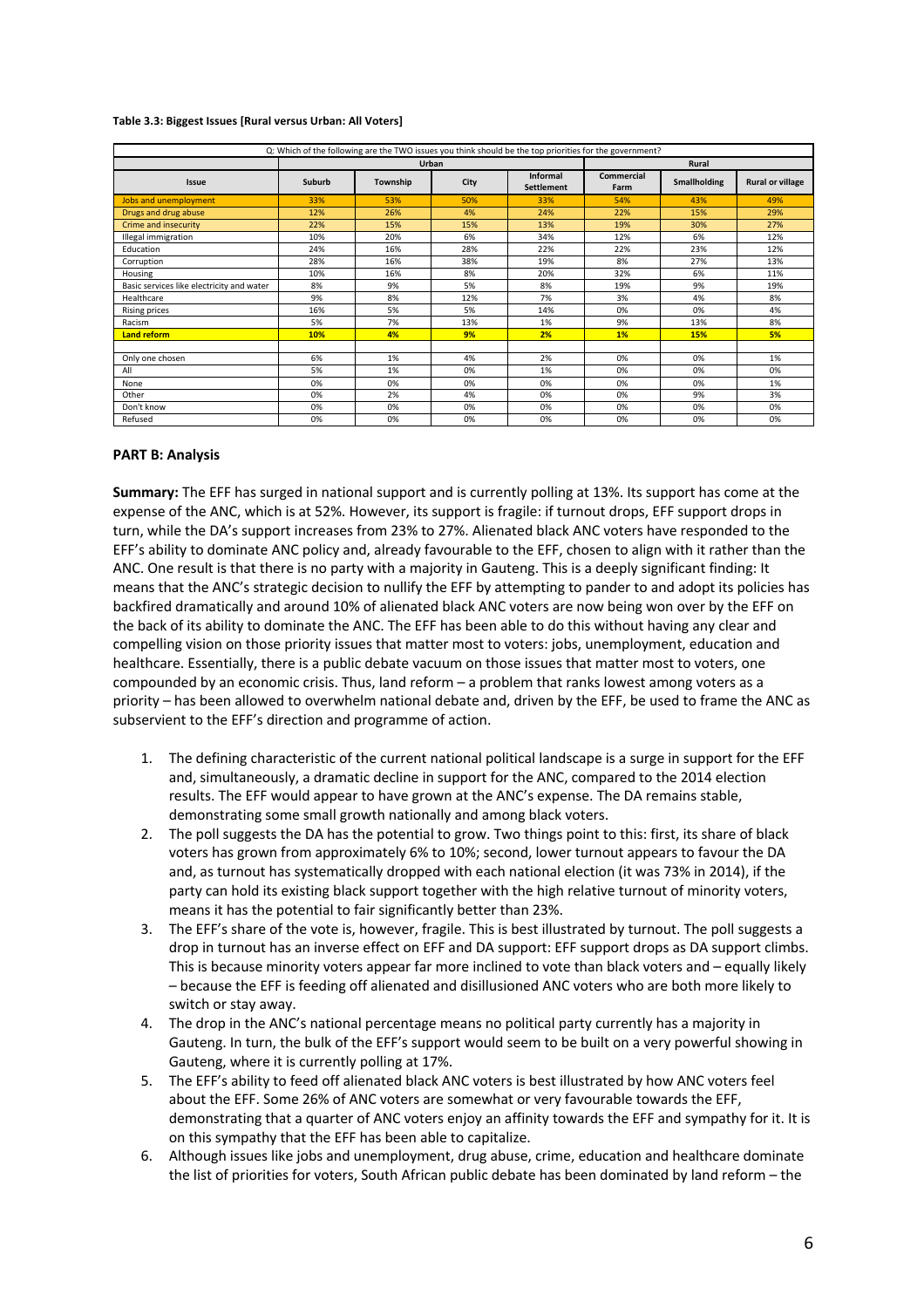#### **Table 3.3: Biggest Issues [Rural versus Urban: All Voters]**

| Q: Which of the following are the TWO issues you think should be the top priorities for the government? |        |          |      |                                      |                    |                     |                         |
|---------------------------------------------------------------------------------------------------------|--------|----------|------|--------------------------------------|--------------------|---------------------|-------------------------|
|                                                                                                         | Urban  |          |      | Rural                                |                    |                     |                         |
| Issue                                                                                                   | Suburb | Township | City | <b>Informal</b><br><b>Settlement</b> | Commercial<br>Farm | <b>Smallholding</b> | <b>Rural or village</b> |
| <b>Jobs and unemployment</b>                                                                            | 33%    | 53%      | 50%  | 33%                                  | 54%                | 43%                 | 49%                     |
| Drugs and drug abuse                                                                                    | 12%    | 26%      | 4%   | 24%                                  | 22%                | 15%                 | 29%                     |
| Crime and insecurity                                                                                    | 22%    | 15%      | 15%  | 13%                                  | 19%                | 30%                 | 27%                     |
| Illegal immigration                                                                                     | 10%    | 20%      | 6%   | 34%                                  | 12%                | 6%                  | 12%                     |
| Education                                                                                               | 24%    | 16%      | 28%  | 22%                                  | 22%                | 23%                 | 12%                     |
| Corruption                                                                                              | 28%    | 16%      | 38%  | 19%                                  | 8%                 | 27%                 | 13%                     |
| Housing                                                                                                 | 10%    | 16%      | 8%   | 20%                                  | 32%                | 6%                  | 11%                     |
| Basic services like electricity and water                                                               | 8%     | 9%       | 5%   | 8%                                   | 19%                | 9%                  | 19%                     |
| Healthcare                                                                                              | 9%     | 8%       | 12%  | 7%                                   | 3%                 | 4%                  | 8%                      |
| <b>Rising prices</b>                                                                                    | 16%    | 5%       | 5%   | 14%                                  | 0%                 | 0%                  | 4%                      |
| Racism                                                                                                  | 5%     | 7%       | 13%  | 1%                                   | 9%                 | 13%                 | 8%                      |
| Land reform                                                                                             | 10%    | 4%       | 9%   | 2%                                   | 1%                 | 15%                 | 5%                      |
|                                                                                                         |        |          |      |                                      |                    |                     |                         |
| Only one chosen                                                                                         | 6%     | 1%       | 4%   | 2%                                   | 0%                 | 0%                  | 1%                      |
| All                                                                                                     | 5%     | 1%       | 0%   | 1%                                   | 0%                 | 0%                  | 0%                      |
| None                                                                                                    | 0%     | 0%       | 0%   | 0%                                   | 0%                 | 0%                  | 1%                      |
| Other                                                                                                   | 0%     | 2%       | 4%   | 0%                                   | 0%                 | 9%                  | 3%                      |
| Don't know                                                                                              | 0%     | 0%       | 0%   | 0%                                   | 0%                 | 0%                  | 0%                      |
| Refused                                                                                                 | 0%     | 0%       | 0%   | 0%                                   | 0%                 | 0%                  | 0%                      |

## **PART B: Analysis**

**Summary:** The EFF has surged in national support and is currently polling at 13%. Its support has come at the expense of the ANC, which is at 52%. However, its support is fragile: if turnout drops, EFF support drops in turn, while the DA's support increases from 23% to 27%. Alienated black ANC voters have responded to the EFF's ability to dominate ANC policy and, already favourable to the EFF, chosen to align with it rather than the ANC. One result is that there is no party with a majority in Gauteng. This is a deeply significant finding: It means that the ANC's strategic decision to nullify the EFF by attempting to pander to and adopt its policies has backfired dramatically and around 10% of alienated black ANC voters are now being won over by the EFF on the back of its ability to dominate the ANC. The EFF has been able to do this without having any clear and compelling vision on those priority issues that matter most to voters: jobs, unemployment, education and healthcare. Essentially, there is a public debate vacuum on those issues that matter most to voters, one compounded by an economic crisis. Thus, land reform – a problem that ranks lowest among voters as a priority – has been allowed to overwhelm national debate and, driven by the EFF, be used to frame the ANC as subservient to the EFF's direction and programme of action.

- 1. The defining characteristic of the current national political landscape is a surge in support for the EFF and, simultaneously, a dramatic decline in support for the ANC, compared to the 2014 election results. The EFF would appear to have grown at the ANC's expense. The DA remains stable, demonstrating some small growth nationally and among black voters.
- 2. The poll suggests the DA has the potential to grow. Two things point to this: first, its share of black voters has grown from approximately 6% to 10%; second, lower turnout appears to favour the DA and, as turnout has systematically dropped with each national election (it was 73% in 2014), if the party can hold its existing black support together with the high relative turnout of minority voters, means it has the potential to fair significantly better than 23%.
- 3. The EFF's share of the vote is, however, fragile. This is best illustrated by turnout. The poll suggests a drop in turnout has an inverse effect on EFF and DA support: EFF support drops as DA support climbs. This is because minority voters appear far more inclined to vote than black voters and – equally likely – because the EFF is feeding off alienated and disillusioned ANC voters who are both more likely to switch or stay away.
- 4. The drop in the ANC's national percentage means no political party currently has a majority in Gauteng. In turn, the bulk of the EFF's support would seem to be built on a very powerful showing in Gauteng, where it is currently polling at 17%.
- 5. The EFF's ability to feed off alienated black ANC voters is best illustrated by how ANC voters feel about the EFF. Some 26% of ANC voters are somewhat or very favourable towards the EFF, demonstrating that a quarter of ANC voters enjoy an affinity towards the EFF and sympathy for it. It is on this sympathy that the EFF has been able to capitalize.
- 6. Although issues like jobs and unemployment, drug abuse, crime, education and healthcare dominate the list of priorities for voters, South African public debate has been dominated by land reform – the